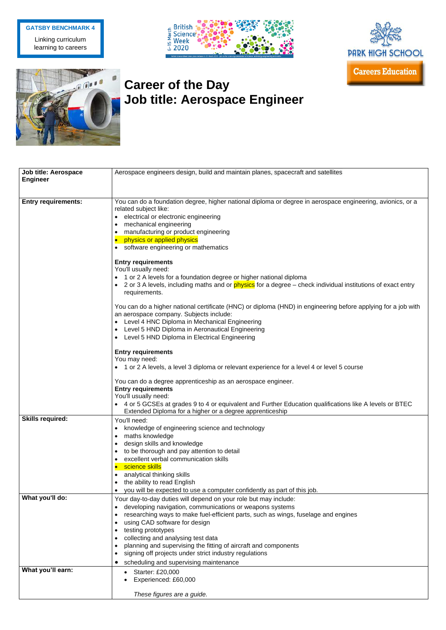## **Career of the Day Job title: Aerospace Engineer**

| <b>Job title: Aerospace</b> | Aerospace engineers design, build and maintain planes, spacecraft and satellites                                                |
|-----------------------------|---------------------------------------------------------------------------------------------------------------------------------|
| <b>Engineer</b>             |                                                                                                                                 |
|                             |                                                                                                                                 |
|                             |                                                                                                                                 |
| <b>Entry requirements:</b>  | You can do a foundation degree, higher national diploma or degree in aerospace engineering, avionics, or a                      |
|                             | related subject like:                                                                                                           |
|                             | • electrical or electronic engineering                                                                                          |
|                             | mechanical engineering<br>$\bullet$                                                                                             |
|                             | manufacturing or product engineering                                                                                            |
|                             | physics or applied physics                                                                                                      |
|                             | software engineering or mathematics<br>$\bullet$                                                                                |
|                             |                                                                                                                                 |
|                             | <b>Entry requirements</b>                                                                                                       |
|                             | You'll usually need:                                                                                                            |
|                             | • 1 or 2 A levels for a foundation degree or higher national diploma                                                            |
|                             | 2 or 3 A levels, including maths and or <b>physics</b> for a degree – check individual institutions of exact entry<br>$\bullet$ |
|                             | requirements.                                                                                                                   |
|                             |                                                                                                                                 |
|                             | You can do a higher national certificate (HNC) or diploma (HND) in engineering before applying for a job with                   |
|                             | an aerospace company. Subjects include:                                                                                         |
|                             | Level 4 HNC Diploma in Mechanical Engineering<br>$\bullet$                                                                      |
|                             | Level 5 HND Diploma in Aeronautical Engineering<br>$\bullet$                                                                    |
|                             | Level 5 HND Diploma in Electrical Engineering<br>$\bullet$                                                                      |
|                             | <b>Entry requirements</b>                                                                                                       |
|                             | You may need:                                                                                                                   |
|                             |                                                                                                                                 |
|                             | • 1 or 2 A levels, a level 3 diploma or relevant experience for a level 4 or level 5 course                                     |
|                             | You can do a degree apprenticeship as an aerospace engineer.                                                                    |
|                             | <b>Entry requirements</b>                                                                                                       |
|                             | You'll usually need:                                                                                                            |
|                             | 4 or 5 GCSEs at grades 9 to 4 or equivalent and Further Education qualifications like A levels or BTEC                          |
|                             | Extended Diploma for a higher or a degree apprenticeship                                                                        |
| <b>Skills required:</b>     | You'll need:                                                                                                                    |
|                             | knowledge of engineering science and technology                                                                                 |
|                             | maths knowledge                                                                                                                 |
|                             | $\bullet$                                                                                                                       |
|                             | design skills and knowledge<br>$\bullet$                                                                                        |
|                             | to be thorough and pay attention to detail<br>$\bullet$                                                                         |
|                             | excellent verbal communication skills                                                                                           |
|                             | science skills                                                                                                                  |
|                             | analytical thinking skills<br>$\bullet$                                                                                         |
|                             | the ability to read English<br>$\bullet$                                                                                        |
|                             | you will be expected to use a computer confidently as part of this job.                                                         |
| What you'll do:             | Your day-to-day duties will depend on your role but may include:                                                                |
|                             | developing navigation, communications or weapons systems<br>$\bullet$                                                           |
|                             | researching ways to make fuel-efficient parts, such as wings, fuselage and engines<br>$\bullet$                                 |
|                             | using CAD software for design                                                                                                   |
|                             | testing prototypes<br>$\bullet$                                                                                                 |
|                             | collecting and analysing test data<br>$\bullet$                                                                                 |
|                             | planning and supervising the fitting of aircraft and components                                                                 |
|                             | signing off projects under strict industry regulations                                                                          |
|                             | scheduling and supervising maintenance                                                                                          |
| What you'll earn:           |                                                                                                                                 |
|                             | Starter: £20,000<br>$\bullet$                                                                                                   |
|                             | Experienced: £60,000                                                                                                            |
|                             |                                                                                                                                 |
|                             | These figures are a guide.                                                                                                      |

## **GATSBY BENCHMARK 4**

Linking curriculum learning to careers